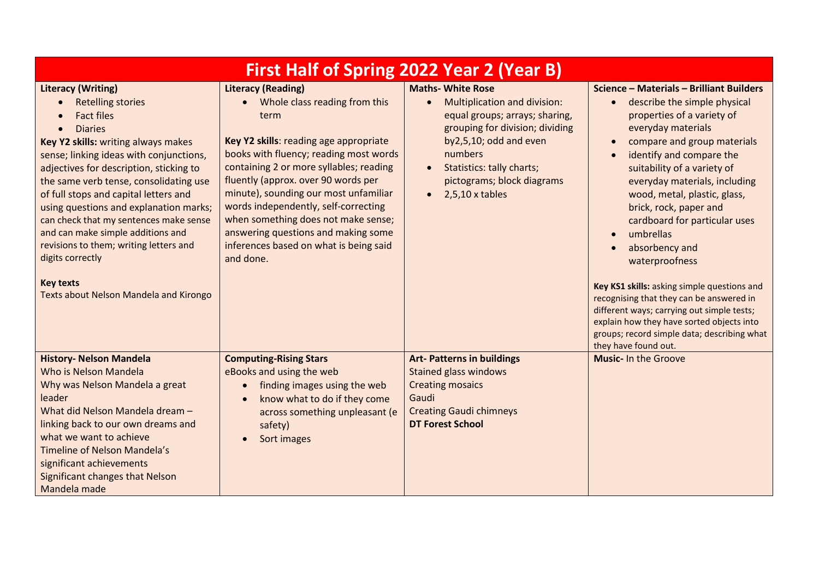| First Half of Spring 2022 Year 2 (Year B)                                                                                                                                                                                                                                                                                                                                                                                                                                                                               |                                                                                                                                                                                                                                                                                                                                                                                                                                                                |                                                                                                                                                                                                                                                            |                                                                                                                                                                                                                                                                                                                                                                                                                                                                                                        |  |
|-------------------------------------------------------------------------------------------------------------------------------------------------------------------------------------------------------------------------------------------------------------------------------------------------------------------------------------------------------------------------------------------------------------------------------------------------------------------------------------------------------------------------|----------------------------------------------------------------------------------------------------------------------------------------------------------------------------------------------------------------------------------------------------------------------------------------------------------------------------------------------------------------------------------------------------------------------------------------------------------------|------------------------------------------------------------------------------------------------------------------------------------------------------------------------------------------------------------------------------------------------------------|--------------------------------------------------------------------------------------------------------------------------------------------------------------------------------------------------------------------------------------------------------------------------------------------------------------------------------------------------------------------------------------------------------------------------------------------------------------------------------------------------------|--|
| <b>Literacy (Writing)</b><br><b>Retelling stories</b><br><b>Fact files</b><br><b>Diaries</b><br>Key Y2 skills: writing always makes<br>sense; linking ideas with conjunctions,<br>adjectives for description, sticking to<br>the same verb tense, consolidating use<br>of full stops and capital letters and<br>using questions and explanation marks;<br>can check that my sentences make sense<br>and can make simple additions and<br>revisions to them; writing letters and<br>digits correctly<br><b>Key texts</b> | <b>Literacy (Reading)</b><br>Whole class reading from this<br>term<br>Key Y2 skills: reading age appropriate<br>books with fluency; reading most words<br>containing 2 or more syllables; reading<br>fluently (approx. over 90 words per<br>minute), sounding our most unfamiliar<br>words independently, self-correcting<br>when something does not make sense;<br>answering questions and making some<br>inferences based on what is being said<br>and done. | <b>Maths- White Rose</b><br>Multiplication and division:<br>equal groups; arrays; sharing,<br>grouping for division; dividing<br>by2,5,10; odd and even<br>numbers<br>Statistics: tally charts;<br>pictograms; block diagrams<br>$\bullet$ 2,5,10 x tables | Science - Materials - Brilliant Builders<br>describe the simple physical<br>$\bullet$<br>properties of a variety of<br>everyday materials<br>compare and group materials<br>$\bullet$<br>identify and compare the<br>$\bullet$<br>suitability of a variety of<br>everyday materials, including<br>wood, metal, plastic, glass,<br>brick, rock, paper and<br>cardboard for particular uses<br>umbrellas<br>$\bullet$<br>absorbency and<br>waterproofness<br>Key KS1 skills: asking simple questions and |  |
| Texts about Nelson Mandela and Kirongo                                                                                                                                                                                                                                                                                                                                                                                                                                                                                  |                                                                                                                                                                                                                                                                                                                                                                                                                                                                |                                                                                                                                                                                                                                                            | recognising that they can be answered in<br>different ways; carrying out simple tests;<br>explain how they have sorted objects into<br>groups; record simple data; describing what<br>they have found out.                                                                                                                                                                                                                                                                                             |  |
| <b>History- Nelson Mandela</b><br>Who is Nelson Mandela<br>Why was Nelson Mandela a great<br>leader<br>What did Nelson Mandela dream -<br>linking back to our own dreams and<br>what we want to achieve<br>Timeline of Nelson Mandela's<br>significant achievements<br><b>Significant changes that Nelson</b><br>Mandela made                                                                                                                                                                                           | <b>Computing-Rising Stars</b><br>eBooks and using the web<br>finding images using the web<br>$\bullet$<br>know what to do if they come<br>across something unpleasant (e<br>safety)<br>Sort images                                                                                                                                                                                                                                                             | <b>Art- Patterns in buildings</b><br><b>Stained glass windows</b><br><b>Creating mosaics</b><br>Gaudi<br><b>Creating Gaudi chimneys</b><br><b>DT Forest School</b>                                                                                         | <b>Music-In the Groove</b>                                                                                                                                                                                                                                                                                                                                                                                                                                                                             |  |